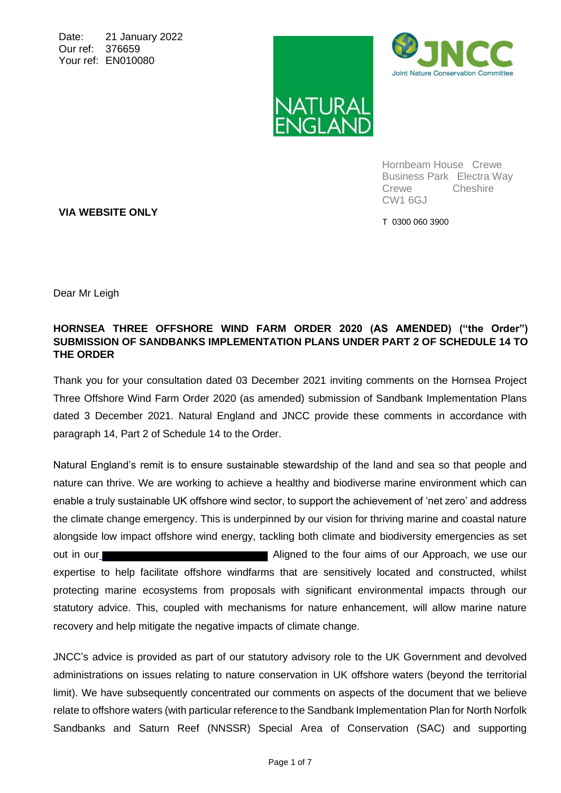Date: 21 January 2022 Our ref: 376659 Your ref: EN010080





Hornbeam House Crewe Business Park Electra Way Crewe Cheshire CW1 6GJ

T 0300 060 3900

**VIA WEBSITE ONLY**

Dear Mr Leigh

#### **HORNSEA THREE OFFSHORE WIND FARM ORDER 2020 (AS AMENDED) ("the Order") SUBMISSION OF SANDBANKS IMPLEMENTATION PLANS UNDER PART 2 OF SCHEDULE 14 TO THE ORDER**

Thank you for your consultation dated 03 December 2021 inviting comments on the Hornsea Project Three Offshore Wind Farm Order 2020 (as amended) submission of Sandbank Implementation Plans dated 3 December 2021. Natural England and JNCC provide these comments in accordance with paragraph 14, Part 2 of Schedule 14 to the Order.

Natural England's remit is to ensure sustainable stewardship of the land and sea so that people and nature can thrive. We are working to achieve a healthy and biodiverse marine environment which can enable a truly sustainable UK offshore wind sector, to support the achievement of 'net zero' and address the climate change emergency. This is underpinned by our vision for thriving marine and coastal nature alongside low impact offshore wind energy, tackling both climate and biodiversity emergencies as set out in our **Aligned to the four aims of our Approach**, we use our expertise to help facilitate offshore windfarms that are sensitively located and constructed, whilst protecting marine ecosystems from proposals with significant environmental impacts through our statutory advice. This, coupled with mechanisms for nature enhancement, will allow marine nature recovery and help mitigate the negative impacts of climate change.

JNCC's advice is provided as part of our statutory advisory role to the UK Government and devolved administrations on issues relating to nature conservation in UK offshore waters (beyond the territorial limit). We have subsequently concentrated our comments on aspects of the document that we believe relate to offshore waters (with particular reference to the Sandbank Implementation Plan for North Norfolk Sandbanks and Saturn Reef (NNSSR) Special Area of Conservation (SAC) and supporting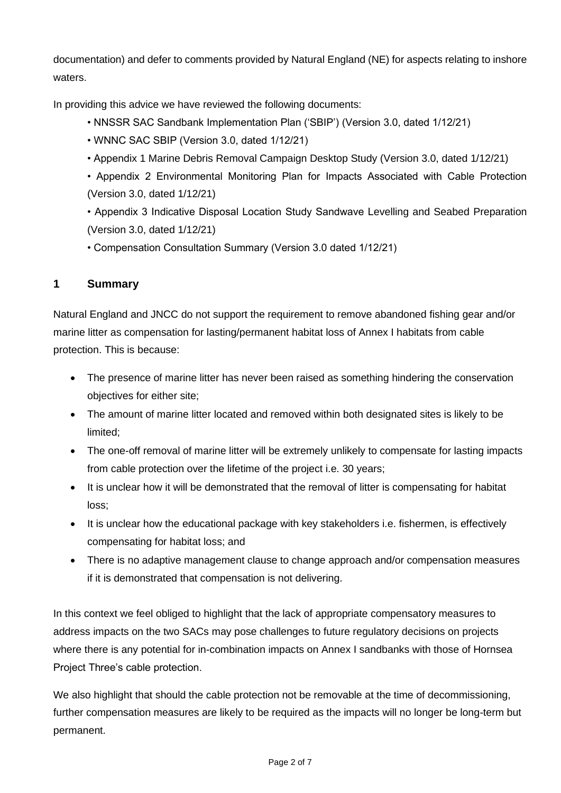documentation) and defer to comments provided by Natural England (NE) for aspects relating to inshore waters.

In providing this advice we have reviewed the following documents:

- NNSSR SAC Sandbank Implementation Plan ('SBIP') (Version 3.0, dated 1/12/21)
- WNNC SAC SBIP (Version 3.0, dated 1/12/21)
- Appendix 1 Marine Debris Removal Campaign Desktop Study (Version 3.0, dated 1/12/21)
- Appendix 2 Environmental Monitoring Plan for Impacts Associated with Cable Protection (Version 3.0, dated 1/12/21)

• Appendix 3 Indicative Disposal Location Study Sandwave Levelling and Seabed Preparation (Version 3.0, dated 1/12/21)

• Compensation Consultation Summary (Version 3.0 dated 1/12/21)

# **1 Summary**

Natural England and JNCC do not support the requirement to remove abandoned fishing gear and/or marine litter as compensation for lasting/permanent habitat loss of Annex I habitats from cable protection. This is because:

- The presence of marine litter has never been raised as something hindering the conservation objectives for either site;
- The amount of marine litter located and removed within both designated sites is likely to be limited;
- The one-off removal of marine litter will be extremely unlikely to compensate for lasting impacts from cable protection over the lifetime of the project i.e. 30 years;
- It is unclear how it will be demonstrated that the removal of litter is compensating for habitat loss;
- It is unclear how the educational package with key stakeholders i.e. fishermen, is effectively compensating for habitat loss; and
- There is no adaptive management clause to change approach and/or compensation measures if it is demonstrated that compensation is not delivering.

In this context we feel obliged to highlight that the lack of appropriate compensatory measures to address impacts on the two SACs may pose challenges to future regulatory decisions on projects where there is any potential for in-combination impacts on Annex I sandbanks with those of Hornsea Project Three's cable protection.

We also highlight that should the cable protection not be removable at the time of decommissioning, further compensation measures are likely to be required as the impacts will no longer be long-term but permanent.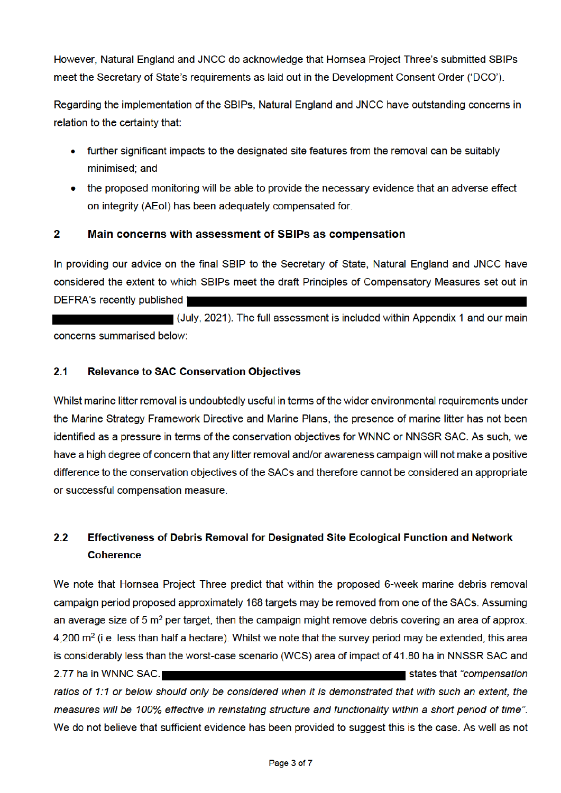However, Natural England and JNCC do acknowledge that Hornsea Project Three's submitted SBIPs meet the Secretary of State's requirements as laid out in the Development Consent Order ('DCO').

Regarding the implementation of the SBIPs, Natural England and JNCC have outstanding concerns in relation to the certainty that:

- further significant impacts to the designated site features from the removal can be suitably minimised: and
- the proposed monitoring will be able to provide the necessary evidence that an adverse effect on integrity (AEoI) has been adequately compensated for.

#### $\overline{2}$ Main concerns with assessment of SBIPs as compensation

In providing our advice on the final SBIP to the Secretary of State. Natural England and JNCC have considered the extent to which SBIPs meet the draft Principles of Compensatory Measures set out in **DEFRA's recently published 1** 

(July, 2021). The full assessment is included within Appendix 1 and our main concerns summarised below:

#### $2.1$ **Relevance to SAC Conservation Objectives**

Whilst marine litter removal is undoubtedly useful in terms of the wider environmental requirements under the Marine Strategy Framework Directive and Marine Plans, the presence of marine litter has not been identified as a pressure in terms of the conservation objectives for WNNC or NNSSR SAC. As such, we have a high degree of concern that any litter removal and/or awareness campaign will not make a positive difference to the conservation objectives of the SACs and therefore cannot be considered an appropriate or successful compensation measure.

#### $2.2$ Effectiveness of Debris Removal for Designated Site Ecological Function and Network **Coherence**

We note that Hornsea Project Three predict that within the proposed 6-week marine debris removal campaign period proposed approximately 168 targets may be removed from one of the SACs. Assuming an average size of 5 m<sup>2</sup> per target, then the campaign might remove debris covering an area of approx. 4,200  $\text{m}^2$  (i.e. less than half a hectare). Whilst we note that the survey period may be extended, this area is considerably less than the worst-case scenario (WCS) area of impact of 41.80 ha in NNSSR SAC and 2.77 ha in WNNC SAC. states that "compensation" ratios of 1:1 or below should only be considered when it is demonstrated that with such an extent, the measures will be 100% effective in reinstating structure and functionality within a short period of time". We do not believe that sufficient evidence has been provided to suggest this is the case. As well as not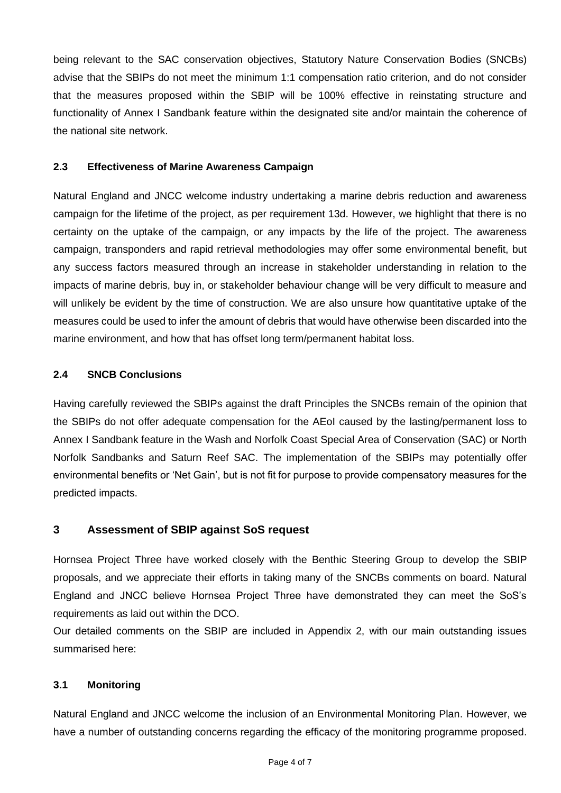being relevant to the SAC conservation objectives, Statutory Nature Conservation Bodies (SNCBs) advise that the SBIPs do not meet the minimum 1:1 compensation ratio criterion, and do not consider that the measures proposed within the SBIP will be 100% effective in reinstating structure and functionality of Annex I Sandbank feature within the designated site and/or maintain the coherence of the national site network.

### **2.3 Effectiveness of Marine Awareness Campaign**

Natural England and JNCC welcome industry undertaking a marine debris reduction and awareness campaign for the lifetime of the project, as per requirement 13d. However, we highlight that there is no certainty on the uptake of the campaign, or any impacts by the life of the project. The awareness campaign, transponders and rapid retrieval methodologies may offer some environmental benefit, but any success factors measured through an increase in stakeholder understanding in relation to the impacts of marine debris, buy in, or stakeholder behaviour change will be very difficult to measure and will unlikely be evident by the time of construction. We are also unsure how quantitative uptake of the measures could be used to infer the amount of debris that would have otherwise been discarded into the marine environment, and how that has offset long term/permanent habitat loss.

### **2.4 SNCB Conclusions**

Having carefully reviewed the SBIPs against the draft Principles the SNCBs remain of the opinion that the SBIPs do not offer adequate compensation for the AEoI caused by the lasting/permanent loss to Annex I Sandbank feature in the Wash and Norfolk Coast Special Area of Conservation (SAC) or North Norfolk Sandbanks and Saturn Reef SAC. The implementation of the SBIPs may potentially offer environmental benefits or 'Net Gain', but is not fit for purpose to provide compensatory measures for the predicted impacts.

### **3 Assessment of SBIP against SoS request**

Hornsea Project Three have worked closely with the Benthic Steering Group to develop the SBIP proposals, and we appreciate their efforts in taking many of the SNCBs comments on board. Natural England and JNCC believe Hornsea Project Three have demonstrated they can meet the SoS's requirements as laid out within the DCO.

Our detailed comments on the SBIP are included in Appendix 2, with our main outstanding issues summarised here:

### **3.1 Monitoring**

Natural England and JNCC welcome the inclusion of an Environmental Monitoring Plan. However, we have a number of outstanding concerns regarding the efficacy of the monitoring programme proposed.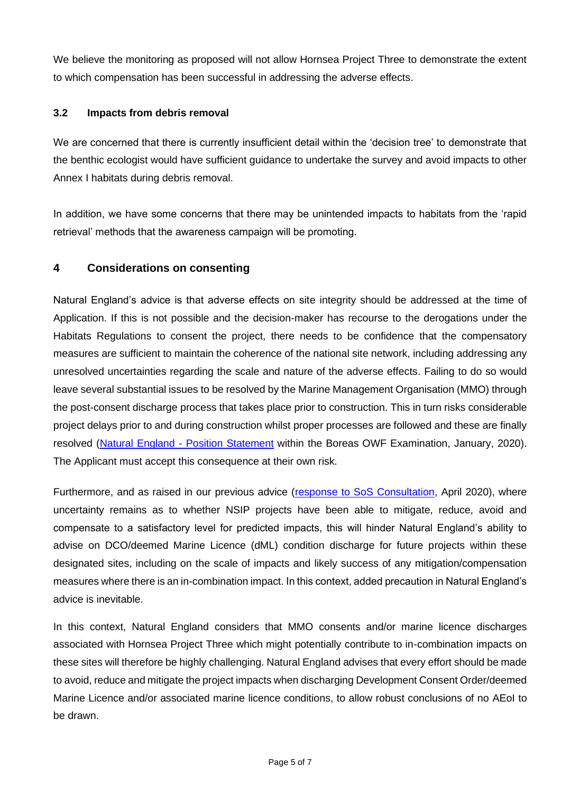We believe the monitoring as proposed will not allow Hornsea Project Three to demonstrate the extent to which compensation has been successful in addressing the adverse effects.

## **3.2 Impacts from debris removal**

We are concerned that there is currently insufficient detail within the 'decision tree' to demonstrate that the benthic ecologist would have sufficient guidance to undertake the survey and avoid impacts to other Annex I habitats during debris removal.

In addition, we have some concerns that there may be unintended impacts to habitats from the 'rapid retrieval' methods that the awareness campaign will be promoting.

## **4 Considerations on consenting**

Natural England's advice is that adverse effects on site integrity should be addressed at the time of Application. If this is not possible and the decision-maker has recourse to the derogations under the Habitats Regulations to consent the project, there needs to be confidence that the compensatory measures are sufficient to maintain the coherence of the national site network, including addressing any unresolved uncertainties regarding the scale and nature of the adverse effects. Failing to do so would leave several substantial issues to be resolved by the Marine Management Organisation (MMO) through the post-consent discharge process that takes place prior to construction. This in turn risks considerable project delays prior to and during construction whilst proper processes are followed and these are finally resolved (Natural England - Position Statement within the Boreas OWF Examination, January, 2020). The Applicant must accept this consequence at their own risk.

Furthermore, and as raised in our previous advice (response to SoS Consultation, April 2020), where uncertainty remains as to whether NSIP projects have been able to mitigate, reduce, avoid and compensate to a satisfactory level for predicted impacts, this will hinder Natural England's ability to advise on DCO/deemed Marine Licence (dML) condition discharge for future projects within these designated sites, including on the scale of impacts and likely success of any mitigation/compensation measures where there is an in-combination impact. In this context, added precaution in Natural England's advice is inevitable.

In this context, Natural England considers that MMO consents and/or marine licence discharges associated with Hornsea Project Three which might potentially contribute to in-combination impacts on these sites will therefore be highly challenging. Natural England advises that every effort should be made to avoid, reduce and mitigate the project impacts when discharging Development Consent Order/deemed Marine Licence and/or associated marine licence conditions, to allow robust conclusions of no AEoI to be drawn.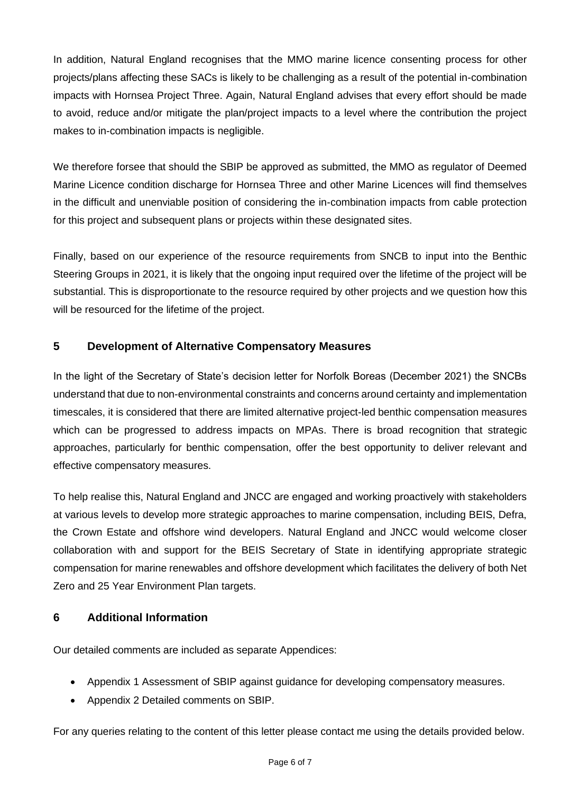In addition, Natural England recognises that the MMO marine licence consenting process for other projects/plans affecting these SACs is likely to be challenging as a result of the potential in-combination impacts with Hornsea Project Three. Again, Natural England advises that every effort should be made to avoid, reduce and/or mitigate the plan/project impacts to a level where the contribution the project makes to in-combination impacts is negligible.

We therefore forsee that should the SBIP be approved as submitted, the MMO as regulator of Deemed Marine Licence condition discharge for Hornsea Three and other Marine Licences will find themselves in the difficult and unenviable position of considering the in-combination impacts from cable protection for this project and subsequent plans or projects within these designated sites.

Finally, based on our experience of the resource requirements from SNCB to input into the Benthic Steering Groups in 2021, it is likely that the ongoing input required over the lifetime of the project will be substantial. This is disproportionate to the resource required by other projects and we question how this will be resourced for the lifetime of the project.

# **5 Development of Alternative Compensatory Measures**

In the light of the Secretary of State's decision letter for Norfolk Boreas (December 2021) the SNCBs understand that due to non-environmental constraints and concerns around certainty and implementation timescales, it is considered that there are limited alternative project-led benthic compensation measures which can be progressed to address impacts on MPAs. There is broad recognition that strategic approaches, particularly for benthic compensation, offer the best opportunity to deliver relevant and effective compensatory measures.

To help realise this, Natural England and JNCC are engaged and working proactively with stakeholders at various levels to develop more strategic approaches to marine compensation, including BEIS, Defra, the Crown Estate and offshore wind developers. Natural England and JNCC would welcome closer collaboration with and support for the BEIS Secretary of State in identifying appropriate strategic compensation for marine renewables and offshore development which facilitates the delivery of both Net Zero and 25 Year Environment Plan targets.

# **6 Additional Information**

Our detailed comments are included as separate Appendices:

- Appendix 1 Assessment of SBIP against guidance for developing compensatory measures.
- Appendix 2 Detailed comments on SBIP.

For any queries relating to the content of this letter please contact me using the details provided below.